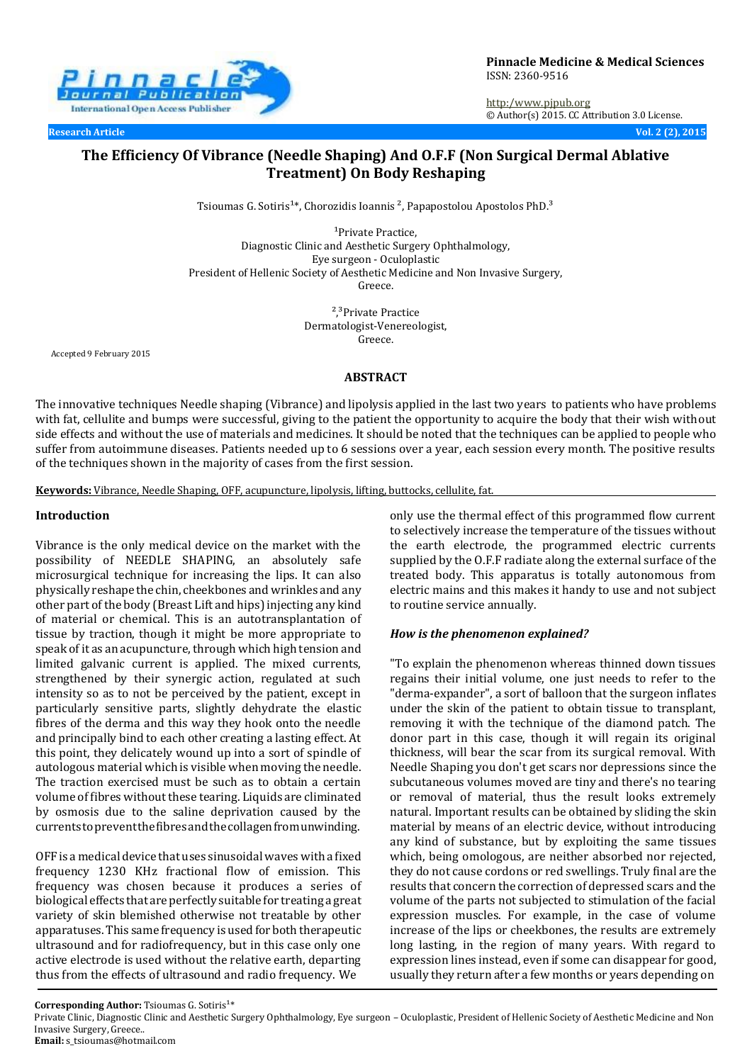

**Pinnacle Medicine & Medical Sciences** ISSN: 2360-9516

http:[/www.pjpub.org](http://www.pjpub.org/) © Author(s) 2015. CC Attribution 3.0 License.

**Research Article Vol. 2 (2), 2015**

# **The Efficiency Of Vibrance (Needle Shaping) And O.F.F (Non Surgical Dermal Ablative Treatment) On Body Reshaping**

Tsioumas G. Sotiris<sup>1\*</sup>, Chorozidis Ioannis<sup>2</sup>, Papapostolou Apostolos PhD.<sup>3</sup>

<sup>1</sup>Private Practice, Diagnostic Clinic and Aesthetic Surgery Ophthalmology, Eye surgeon - Oculoplastic President of Hellenic Society of Aesthetic Medicine and Non Invasive Surgery, Greece.

> <sup>2</sup>,<sup>3</sup>Private Practice Dermatologist-Venereologist, Greece.

Accepted 9 February 2015

#### **ABSTRACT**

The innovative techniques Needle shaping (Vibrance) and lipolysis applied in the last two years to patients who have problems with fat, cellulite and bumps were successful, giving to the patient the opportunity to acquire the body that their wish without side effects and without the use of materials and medicines. It should be noted that the techniques can be applied to people who suffer from autoimmune diseases. Patients needed up to 6 sessions over a year, each session every month. The positive results of the techniques shown in the majority of cases from the first session.

**Keywords:** Vibrance, Needle Shaping, OFF, acupuncture, lipolysis, lifting, buttocks, cellulite, fat.

#### **Introduction**

Vibrance is the only medical device on the market with the possibility of NEEDLE SHAPING, an absolutely safe microsurgical technique for increasing the lips. It can also physically reshape the chin, cheekbones and wrinkles and any other part of the body (Breast Lift and hips) injecting any kind of material or chemical. This is an autotransplantation of tissue by traction, though it might be more appropriate to speak of it as an acupuncture, through which high tension and limited galvanic current is applied. The mixed currents, strengthened by their synergic action, regulated at such intensity so as to not be perceived by the patient, except in particularly sensitive parts, slightly dehydrate the elastic fibres of the derma and this way they hook onto the needle and principally bind to each other creating a lasting effect. At this point, they delicately wound up into a sort of spindle of autologous material which is visible when moving the needle. The traction exercised must be such as to obtain a certain volume of fibres without these tearing. Liquids are climinated by osmosis due to the saline deprivation caused by the currentstopreventthefibresandthecollagenfromunwinding.

OFF is a medical device that uses sinusoidal waves with a fixed frequency 1230 KHz fractional flow of emission. This frequency was chosen because it produces a series of biological effects that are perfectly suitable for treating a great variety of skin blemished otherwise not treatable by other apparatuses. This same frequency is used for both therapeutic ultrasound and for radiofrequency, but in this case only one active electrode is used without the relative earth, departing thus from the effects of ultrasound and radio frequency. We

only use the thermal effect of this programmed flow current to selectively increase the temperature of the tissues without the earth electrode, the programmed electric currents supplied by the O.F.F radiate along the external surface of the treated body. This apparatus is totally autonomous from electric mains and this makes it handy to use and not subject to routine service annually.

#### *How is the phenomenon explained?*

"To explain the phenomenon whereas thinned down tissues regains their initial volume, one just needs to refer to the "derma-expander", a sort of balloon that the surgeon inflates under the skin of the patient to obtain tissue to transplant, removing it with the technique of the diamond patch. The donor part in this case, though it will regain its original thickness, will bear the scar from its surgical removal. With Needle Shaping you don't get scars nor depressions since the subcutaneous volumes moved are tiny and there's no tearing or removal of material, thus the result looks extremely natural. Important results can be obtained by sliding the skin material by means of an electric device, without introducing any kind of substance, but by exploiting the same tissues which, being omologous, are neither absorbed nor rejected, they do not cause cordons or red swellings. Truly final are the results that concern the correction of depressed scars and the volume of the parts not subjected to stimulation of the facial expression muscles. For example, in the case of volume increase of the lips or cheekbones, the results are extremely long lasting, in the region of many years. With regard to expression lines instead, even if some can disappear for good, usually they return after a few months or years depending on

Corresponding Author: Tsioumas G. Sotiris<sup>1\*</sup>

Private Clinic, Diagnostic Clinic and Aesthetic Surgery Ophthalmology, Eye surgeon – Oculoplastic, President of Hellenic Society of Aesthetic Medicine and Non Invasive Surgery, Greece.. **Email:** [s\\_tsioumas@hotmail.com](mailto:s_tsioumas@hotmail.com)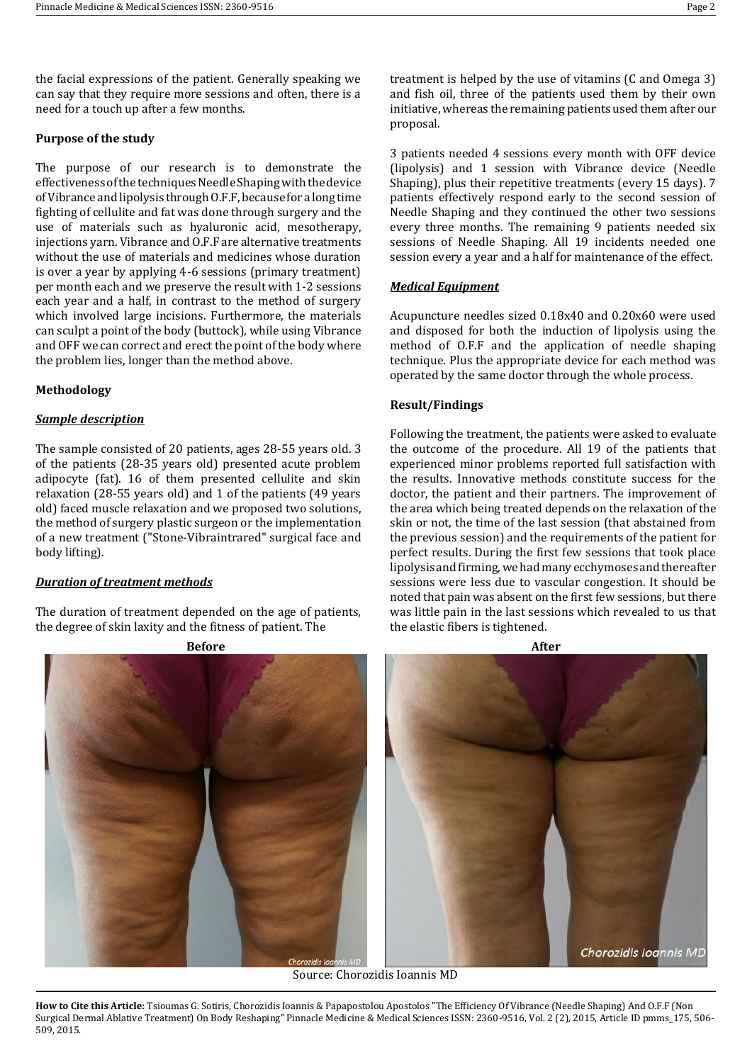the facial expressions of the patient. Generally speaking we can say that they require more sessions and often, there is a need for a touch up after a few months.

### **Purpose of the study**

The purpose of our research is to demonstrate the effectiveness of the techniques Needle Shaping with the device of Vibrance and lipolysis through O.F.F, because for a long time fighting of cellulite and fat was done through surgery and the use of materials such as hyaluronic acid, mesotherapy, injections yarn. Vibrance and O.F.F are alternative treatments without the use of materials and medicines whose duration is over a year by applying 4-6 sessions (primary treatment) per month each and we preserve the result with 1-2 sessions each year and a half, in contrast to the method of surgery which involved large incisions. Furthermore, the materials can sculpt a point of the body (buttock), while using Vibrance and OFF we can correct and erect the point of the body where the problem lies, longer than the method above.

#### **Methodology**

### *Sample description*

The sample consisted of 20 patients, ages 28-55 years old. 3 of the patients (28-35 years old) presented acute problem adipocyte (fat). 16 of them presented cellulite and skin relaxation (28-55 years old) and 1 of the patients (49 years old) faced muscle relaxation and we proposed two solutions, the method of surgery plastic surgeon or the implementation of a new treatment ("Stone-Vibraintrared" surgical face and body lifting).

#### *Duration of treatment methods*

The duration of treatment depended on the age of patients, the degree of skin laxity and the fitness of patient. The

treatment is helped by the use of vitamins (C and Omega 3) and fish oil, three of the patients used them by their own initiative, whereas the remaining patients used them after our proposal.

3 patients needed 4 sessions every month with OFF device (lipolysis) and 1 session with Vibrance device (Needle Shaping), plus their repetitive treatments (every 15 days). 7 patients effectively respond early to the second session of Needle Shaping and they continued the other two sessions every three months. The remaining 9 patients needed six sessions of Needle Shaping. All 19 incidents needed one session every a year and a half for maintenance of the effect.

# *Medical Equipment*

Acupuncture needles sized 0.18x40 and 0.20x60 were used and disposed for both the induction of lipolysis using the method of O.F.F and the application of needle shaping technique. Plus the appropriate device for each method was operated by the same doctor through the whole process.

# **Result/Findings**

Following the treatment, the patients were asked to evaluate the outcome of the procedure. All 19 of the patients that experienced minor problems reported full satisfaction with the results. Innovative methods constitute success for the doctor, the patient and their partners. The improvement of the area which being treated depends on the relaxation of the skin or not, the time of the last session (that abstained from the previous session) and the requirements of the patient for perfect results. During the first few sessions that took place lipolysis and firming, we had many ecchymoses and thereafter sessions were less due to vascular congestion. It should be noted that pain was absent on the first few sessions, but there was little pain in the last sessions which revealed to us that the elastic fibers is tightened.



Source: Chorozidis Ioannis MD

**How to Cite this Article:** Tsioumas G. Sotiris, Chorozidis Ioannis & Papapostolou Apostolos "The Efficiency Of Vibrance (Needle Shaping) And O.F.F (Non Surgical Dermal Ablative Treatment) On Body Reshaping" Pinnacle Medicine & Medical Sciences ISSN: 2360-9516, Vol. 2 (2), 2015, Article ID pmms\_175, 506- 509, 2015.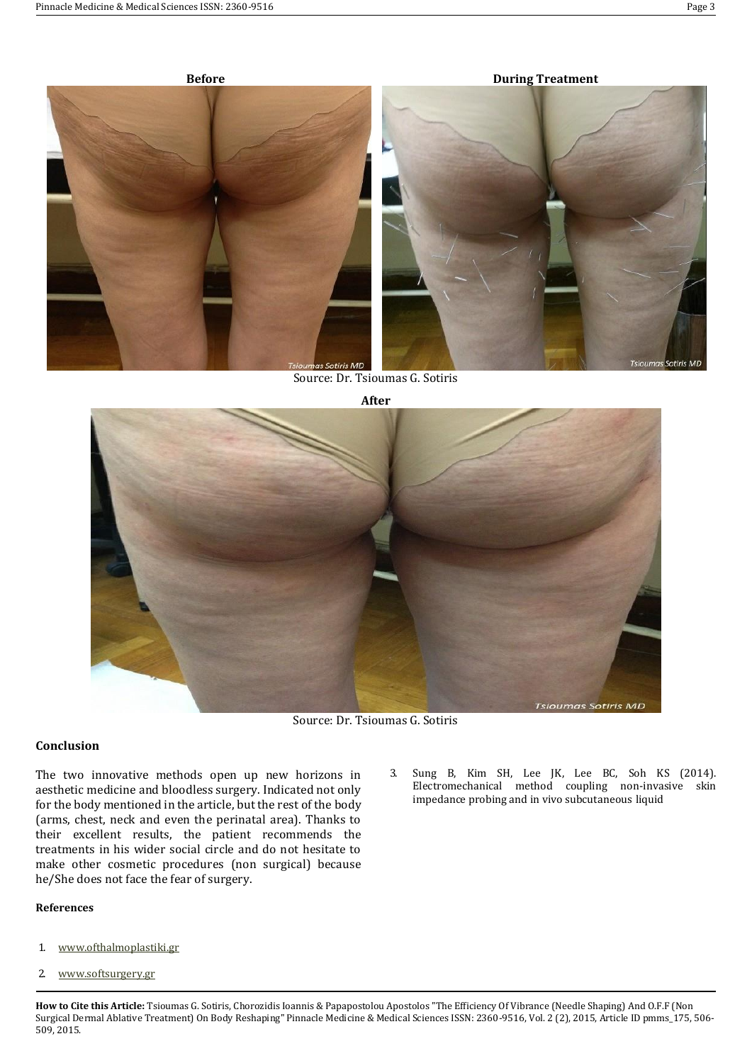

Source: Dr. Tsioumas G. Sotiris



Source: Dr. Tsioumas G. Sotiris

### **Conclusion**

The two innovative methods open up new horizons in aesthetic medicine and bloodless surgery. Indicated not only for the body mentioned in the article, but the rest of the body (arms, chest, neck and even the perinatal area). Thanks to their excellent results, the patient recommends the treatments in his wider social circle and do not hesitate to make other cosmetic procedures (non surgical) because he/She does not face the fear of surgery.

## **References**

- 1. [www.ofthalmoplastiki.gr](http://www.ofthalmoplastiki.gr/)
- 2. [www.softsurgery.gr](http://www.softsurgery.gr/)

3. Sung B, Kim SH, Lee JK, Lee BC, Soh KS (2014). Electromechanical method coupling non-invasive skin impedance probing and in vivo subcutaneous liquid

**How to Cite this Article:** Tsioumas G. Sotiris, Chorozidis Ioannis & Papapostolou Apostolos "The Efficiency Of Vibrance (Needle Shaping) And O.F.F (Non Surgical Dermal Ablative Treatment) On Body Reshaping" Pinnacle Medicine & Medical Sciences ISSN: 2360-9516, Vol. 2 (2), 2015, Article ID pmms\_175, 506- 509, 2015.